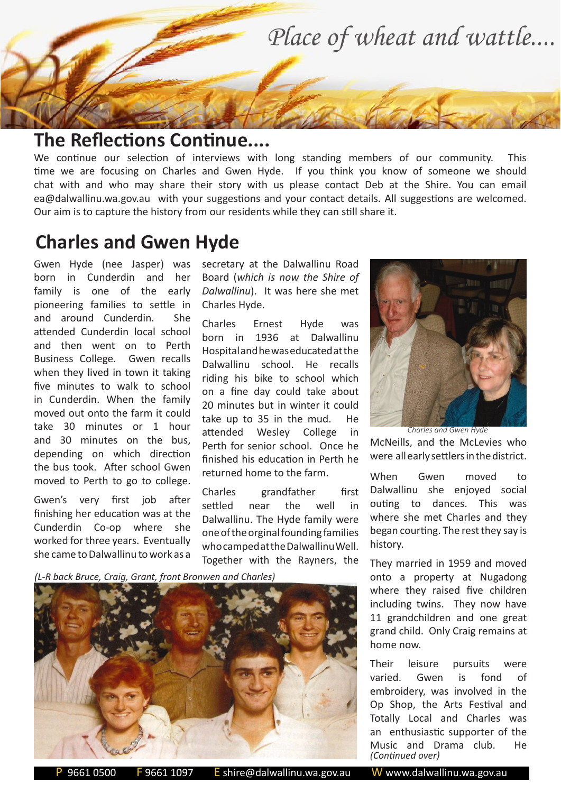

## **The Reflections Continue....**

We continue our selection of interviews with long standing members of our community. This time we are focusing on Charles and Gwen Hyde. If you think you know of someone we should chat with and who may share their story with us please contact Deb at the Shire. You can email ea@dalwallinu.wa.gov.au with your suggestions and your contact details. All suggestions are welcomed. Our aim is to capture the history from our residents while they can still share it.

## **Charles and Gwen Hyde**

Gwen Hyde (nee Jasper) was born in Cunderdin and her family is one of the early pioneering families to settle in and around Cunderdin. She attended Cunderdin local school and then went on to Perth Business College. Gwen recalls when they lived in town it taking five minutes to walk to school in Cunderdin. When the family moved out onto the farm it could take 30 minutes or 1 hour and 30 minutes on the bus, depending on which direction the bus took. After school Gwen moved to Perth to go to college.

Gwen's very first job after finishing her education was at the Cunderdin Co-op where she worked for three years. Eventually she came to Dalwallinu to work as a secretary at the Dalwallinu Road Board (*which is now the Shire of Dalwallinu*). It was here she met Charles Hyde.

Charles Ernest Hyde was born in 1936 at Dalwallinu Hospital and he was educated at the Dalwallinu school. He recalls riding his bike to school which on a fine day could take about 20 minutes but in winter it could take up to 35 in the mud. He attended Wesley College in Perth for senior school. Once he finished his education in Perth he returned home to the farm.

Charles grandfather first settled near the well in Dalwallinu. The Hyde family were one of the orginal founding families who camped at the Dalwallinu Well. Together with the Rayners, the

*(L-R back Bruce, Craig, Grant, front Bronwen and Charles)*





McNeills, and the McLevies who were all early settlers in the district.

When Gwen moved to Dalwallinu she enjoyed social outing to dances. This was where she met Charles and they began courting. The rest they say is history.

They married in 1959 and moved onto a property at Nugadong where they raised five children including twins. They now have 11 grandchildren and one great grand child. Only Craig remains at home now.

Their leisure pursuits were varied. Gwen is fond of embroidery, was involved in the Op Shop, the Arts Festival and Totally Local and Charles was an enthusiastic supporter of the Music and Drama club. He *(Continued over)*